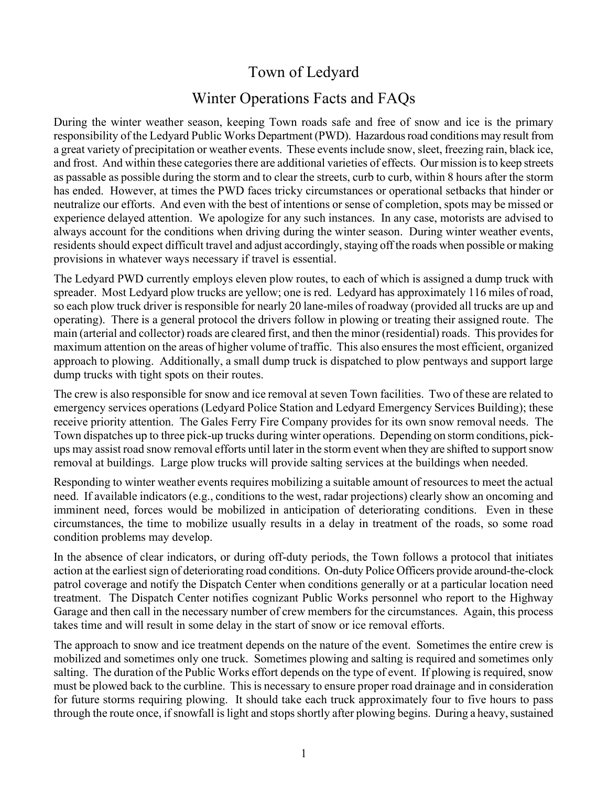# Town of Ledyard

# Winter Operations Facts and FAQs

During the winter weather season, keeping Town roads safe and free of snow and ice is the primary responsibility of the Ledyard Public Works Department (PWD). Hazardous road conditions may result from a great variety of precipitation or weather events. These events include snow, sleet, freezing rain, black ice, and frost. And within these categories there are additional varieties of effects. Our mission is to keep streets as passable as possible during the storm and to clear the streets, curb to curb, within 8 hours after the storm has ended. However, at times the PWD faces tricky circumstances or operational setbacks that hinder or neutralize our efforts. And even with the best of intentions or sense of completion, spots may be missed or experience delayed attention. We apologize for any such instances. In any case, motorists are advised to always account for the conditions when driving during the winter season. During winter weather events, residents should expect difficult travel and adjust accordingly, staying off the roads when possible or making provisions in whatever ways necessary if travel is essential.

The Ledyard PWD currently employs eleven plow routes, to each of which is assigned a dump truck with spreader. Most Ledyard plow trucks are yellow; one is red. Ledyard has approximately 116 miles of road, so each plow truck driver is responsible for nearly 20 lane-miles of roadway (provided all trucks are up and operating). There is a general protocol the drivers follow in plowing or treating their assigned route. The main (arterial and collector) roads are cleared first, and then the minor (residential) roads. This provides for maximum attention on the areas of higher volume of traffic. This also ensures the most efficient, organized approach to plowing. Additionally, a small dump truck is dispatched to plow pentways and support large dump trucks with tight spots on their routes.

The crew is also responsible for snow and ice removal at seven Town facilities. Two of these are related to emergency services operations (Ledyard Police Station and Ledyard Emergency Services Building); these receive priority attention. The Gales Ferry Fire Company provides for its own snow removal needs. The Town dispatches up to three pick-up trucks during winter operations. Depending on storm conditions, pickups may assist road snow removal efforts until later in the storm event when they are shifted to support snow removal at buildings. Large plow trucks will provide salting services at the buildings when needed.

Responding to winter weather events requires mobilizing a suitable amount of resources to meet the actual need. If available indicators (e.g., conditions to the west, radar projections) clearly show an oncoming and imminent need, forces would be mobilized in anticipation of deteriorating conditions. Even in these circumstances, the time to mobilize usually results in a delay in treatment of the roads, so some road condition problems may develop.

In the absence of clear indicators, or during off-duty periods, the Town follows a protocol that initiates action at the earliest sign of deteriorating road conditions. On-duty Police Officers provide around-the-clock patrol coverage and notify the Dispatch Center when conditions generally or at a particular location need treatment. The Dispatch Center notifies cognizant Public Works personnel who report to the Highway Garage and then call in the necessary number of crew members for the circumstances. Again, this process takes time and will result in some delay in the start of snow or ice removal efforts.

The approach to snow and ice treatment depends on the nature of the event. Sometimes the entire crew is mobilized and sometimes only one truck. Sometimes plowing and salting is required and sometimes only salting. The duration of the Public Works effort depends on the type of event. If plowing is required, snow must be plowed back to the curbline. This is necessary to ensure proper road drainage and in consideration for future storms requiring plowing. It should take each truck approximately four to five hours to pass through the route once, if snowfall is light and stops shortly after plowing begins. During a heavy, sustained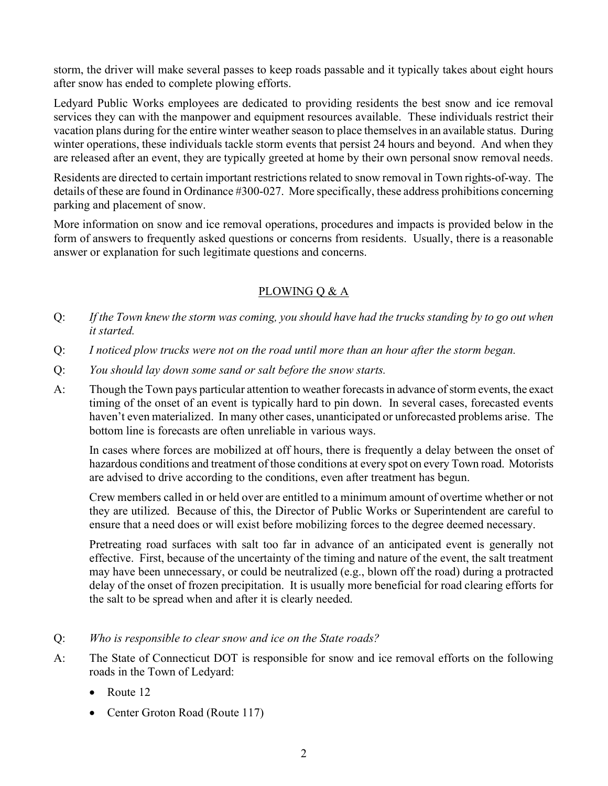storm, the driver will make several passes to keep roads passable and it typically takes about eight hours after snow has ended to complete plowing efforts.

Ledyard Public Works employees are dedicated to providing residents the best snow and ice removal services they can with the manpower and equipment resources available. These individuals restrict their vacation plans during for the entire winter weather season to place themselves in an available status. During winter operations, these individuals tackle storm events that persist 24 hours and beyond. And when they are released after an event, they are typically greeted at home by their own personal snow removal needs.

Residents are directed to certain important restrictions related to snow removal in Town rights-of-way. The details of these are found in Ordinance #300-027. More specifically, these address prohibitions concerning parking and placement of snow.

More information on snow and ice removal operations, procedures and impacts is provided below in the form of answers to frequently asked questions or concerns from residents. Usually, there is a reasonable answer or explanation for such legitimate questions and concerns.

# PLOWING Q & A

- Q: If the Town knew the storm was coming, you should have had the trucks standing by to go out when it started.
- Q: I noticed plow trucks were not on the road until more than an hour after the storm began.
- Q: You should lay down some sand or salt before the snow starts.
- A: Though the Town pays particular attention to weather forecasts in advance of storm events, the exact timing of the onset of an event is typically hard to pin down. In several cases, forecasted events haven't even materialized. In many other cases, unanticipated or unforecasted problems arise. The bottom line is forecasts are often unreliable in various ways.

In cases where forces are mobilized at off hours, there is frequently a delay between the onset of hazardous conditions and treatment of those conditions at every spot on every Town road. Motorists are advised to drive according to the conditions, even after treatment has begun.

Crew members called in or held over are entitled to a minimum amount of overtime whether or not they are utilized. Because of this, the Director of Public Works or Superintendent are careful to ensure that a need does or will exist before mobilizing forces to the degree deemed necessary.

Pretreating road surfaces with salt too far in advance of an anticipated event is generally not effective. First, because of the uncertainty of the timing and nature of the event, the salt treatment may have been unnecessary, or could be neutralized (e.g., blown off the road) during a protracted delay of the onset of frozen precipitation. It is usually more beneficial for road clearing efforts for the salt to be spread when and after it is clearly needed.

- Q: Who is responsible to clear snow and ice on the State roads?
- A: The State of Connecticut DOT is responsible for snow and ice removal efforts on the following roads in the Town of Ledyard:
	- Route 12
	- Center Groton Road (Route 117)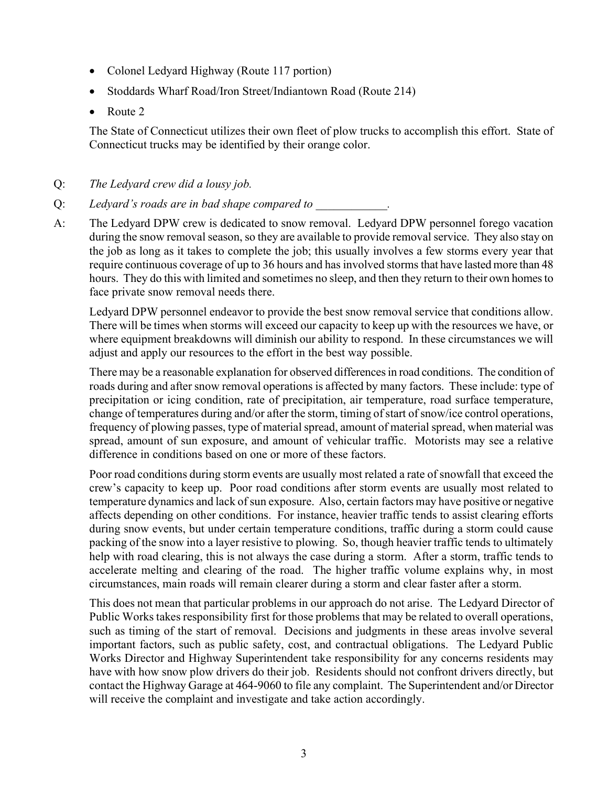- Colonel Ledyard Highway (Route 117 portion)
- Stoddards Wharf Road/Iron Street/Indiantown Road (Route 214)
- Route 2

The State of Connecticut utilizes their own fleet of plow trucks to accomplish this effort. State of Connecticut trucks may be identified by their orange color.

- Q: The Ledyard crew did a lousy job.
- Q: Ledyard's roads are in bad shape compared to
- A: The Ledyard DPW crew is dedicated to snow removal. Ledyard DPW personnel forego vacation during the snow removal season, so they are available to provide removal service. They also stay on the job as long as it takes to complete the job; this usually involves a few storms every year that require continuous coverage of up to 36 hours and has involved storms that have lasted more than 48 hours. They do this with limited and sometimes no sleep, and then they return to their own homes to face private snow removal needs there.

Ledyard DPW personnel endeavor to provide the best snow removal service that conditions allow. There will be times when storms will exceed our capacity to keep up with the resources we have, or where equipment breakdowns will diminish our ability to respond. In these circumstances we will adjust and apply our resources to the effort in the best way possible.

There may be a reasonable explanation for observed differences in road conditions. The condition of roads during and after snow removal operations is affected by many factors. These include: type of precipitation or icing condition, rate of precipitation, air temperature, road surface temperature, change of temperatures during and/or after the storm, timing of start of snow/ice control operations, frequency of plowing passes, type of material spread, amount of material spread, when material was spread, amount of sun exposure, and amount of vehicular traffic. Motorists may see a relative difference in conditions based on one or more of these factors.

Poor road conditions during storm events are usually most related a rate of snowfall that exceed the crew's capacity to keep up. Poor road conditions after storm events are usually most related to temperature dynamics and lack of sun exposure. Also, certain factors may have positive or negative affects depending on other conditions. For instance, heavier traffic tends to assist clearing efforts during snow events, but under certain temperature conditions, traffic during a storm could cause packing of the snow into a layer resistive to plowing. So, though heavier traffic tends to ultimately help with road clearing, this is not always the case during a storm. After a storm, traffic tends to accelerate melting and clearing of the road. The higher traffic volume explains why, in most circumstances, main roads will remain clearer during a storm and clear faster after a storm.

This does not mean that particular problems in our approach do not arise. The Ledyard Director of Public Works takes responsibility first for those problems that may be related to overall operations, such as timing of the start of removal. Decisions and judgments in these areas involve several important factors, such as public safety, cost, and contractual obligations. The Ledyard Public Works Director and Highway Superintendent take responsibility for any concerns residents may have with how snow plow drivers do their job. Residents should not confront drivers directly, but contact the Highway Garage at 464-9060 to file any complaint. The Superintendent and/or Director will receive the complaint and investigate and take action accordingly.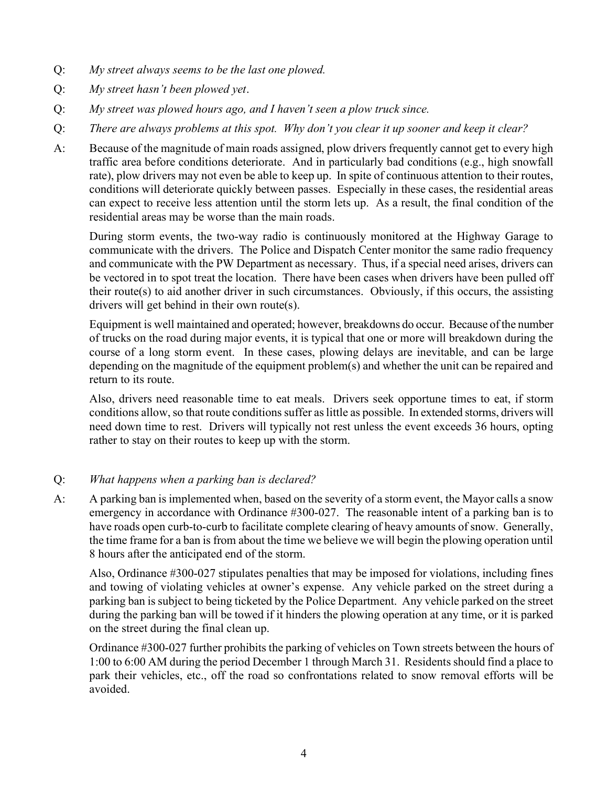- Q: My street always seems to be the last one plowed.
- Q: My street hasn't been plowed yet.
- Q: My street was plowed hours ago, and I haven't seen a plow truck since.
- Q: There are always problems at this spot. Why don't you clear it up sooner and keep it clear?
- A: Because of the magnitude of main roads assigned, plow drivers frequently cannot get to every high traffic area before conditions deteriorate. And in particularly bad conditions (e.g., high snowfall rate), plow drivers may not even be able to keep up. In spite of continuous attention to their routes, conditions will deteriorate quickly between passes. Especially in these cases, the residential areas can expect to receive less attention until the storm lets up. As a result, the final condition of the residential areas may be worse than the main roads.

During storm events, the two-way radio is continuously monitored at the Highway Garage to communicate with the drivers. The Police and Dispatch Center monitor the same radio frequency and communicate with the PW Department as necessary. Thus, if a special need arises, drivers can be vectored in to spot treat the location. There have been cases when drivers have been pulled off their route(s) to aid another driver in such circumstances. Obviously, if this occurs, the assisting drivers will get behind in their own route(s).

Equipment is well maintained and operated; however, breakdowns do occur. Because of the number of trucks on the road during major events, it is typical that one or more will breakdown during the course of a long storm event. In these cases, plowing delays are inevitable, and can be large depending on the magnitude of the equipment problem(s) and whether the unit can be repaired and return to its route.

Also, drivers need reasonable time to eat meals. Drivers seek opportune times to eat, if storm conditions allow, so that route conditions suffer as little as possible. In extended storms, drivers will need down time to rest. Drivers will typically not rest unless the event exceeds 36 hours, opting rather to stay on their routes to keep up with the storm.

# Q: What happens when a parking ban is declared?

A: A parking ban is implemented when, based on the severity of a storm event, the Mayor calls a snow emergency in accordance with Ordinance #300-027. The reasonable intent of a parking ban is to have roads open curb-to-curb to facilitate complete clearing of heavy amounts of snow. Generally, the time frame for a ban is from about the time we believe we will begin the plowing operation until 8 hours after the anticipated end of the storm.

Also, Ordinance #300-027 stipulates penalties that may be imposed for violations, including fines and towing of violating vehicles at owner's expense. Any vehicle parked on the street during a parking ban is subject to being ticketed by the Police Department. Any vehicle parked on the street during the parking ban will be towed if it hinders the plowing operation at any time, or it is parked on the street during the final clean up.

Ordinance #300-027 further prohibits the parking of vehicles on Town streets between the hours of 1:00 to 6:00 AM during the period December 1 through March 31. Residents should find a place to park their vehicles, etc., off the road so confrontations related to snow removal efforts will be avoided.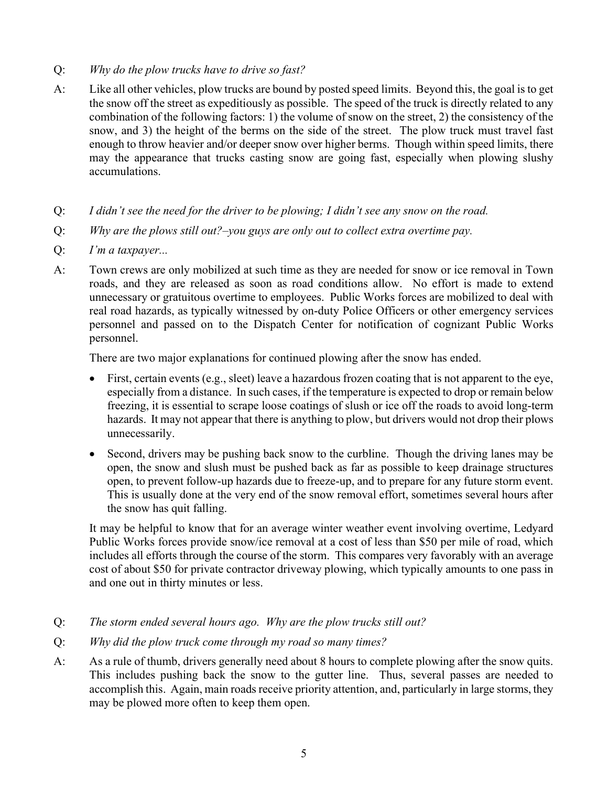- Q: Why do the plow trucks have to drive so fast?
- A: Like all other vehicles, plow trucks are bound by posted speed limits. Beyond this, the goal is to get the snow off the street as expeditiously as possible. The speed of the truck is directly related to any combination of the following factors: 1) the volume of snow on the street, 2) the consistency of the snow, and 3) the height of the berms on the side of the street. The plow truck must travel fast enough to throw heavier and/or deeper snow over higher berms. Though within speed limits, there may the appearance that trucks casting snow are going fast, especially when plowing slushy accumulations.
- Q: I didn't see the need for the driver to be plowing; I didn't see any snow on the road.
- Q: Why are the plows still out?–you guys are only out to collect extra overtime pay.
- Q: I'm a taxpayer...
- A: Town crews are only mobilized at such time as they are needed for snow or ice removal in Town roads, and they are released as soon as road conditions allow. No effort is made to extend unnecessary or gratuitous overtime to employees. Public Works forces are mobilized to deal with real road hazards, as typically witnessed by on-duty Police Officers or other emergency services personnel and passed on to the Dispatch Center for notification of cognizant Public Works personnel.

There are two major explanations for continued plowing after the snow has ended.

- First, certain events (e.g., sleet) leave a hazardous frozen coating that is not apparent to the eye, especially from a distance. In such cases, if the temperature is expected to drop or remain below freezing, it is essential to scrape loose coatings of slush or ice off the roads to avoid long-term hazards. It may not appear that there is anything to plow, but drivers would not drop their plows unnecessarily.
- Second, drivers may be pushing back snow to the curbline. Though the driving lanes may be open, the snow and slush must be pushed back as far as possible to keep drainage structures open, to prevent follow-up hazards due to freeze-up, and to prepare for any future storm event. This is usually done at the very end of the snow removal effort, sometimes several hours after the snow has quit falling.

It may be helpful to know that for an average winter weather event involving overtime, Ledyard Public Works forces provide snow/ice removal at a cost of less than \$50 per mile of road, which includes all efforts through the course of the storm. This compares very favorably with an average cost of about \$50 for private contractor driveway plowing, which typically amounts to one pass in and one out in thirty minutes or less.

- Q: The storm ended several hours ago. Why are the plow trucks still out?
- Q: Why did the plow truck come through my road so many times?
- A: As a rule of thumb, drivers generally need about 8 hours to complete plowing after the snow quits. This includes pushing back the snow to the gutter line. Thus, several passes are needed to accomplish this. Again, main roads receive priority attention, and, particularly in large storms, they may be plowed more often to keep them open.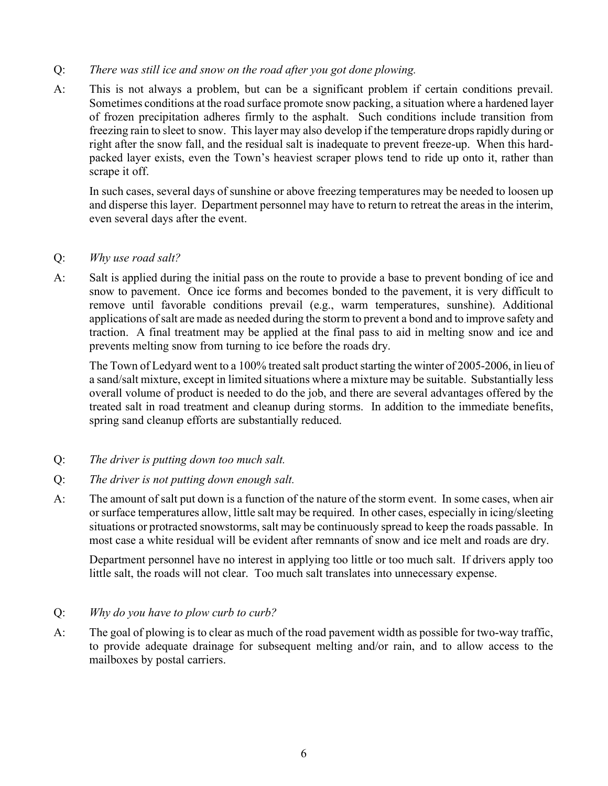#### Q: There was still ice and snow on the road after you got done plowing.

A: This is not always a problem, but can be a significant problem if certain conditions prevail. Sometimes conditions at the road surface promote snow packing, a situation where a hardened layer of frozen precipitation adheres firmly to the asphalt. Such conditions include transition from freezing rain to sleet to snow. This layer may also develop if the temperature drops rapidly during or right after the snow fall, and the residual salt is inadequate to prevent freeze-up. When this hardpacked layer exists, even the Town's heaviest scraper plows tend to ride up onto it, rather than scrape it off.

In such cases, several days of sunshine or above freezing temperatures may be needed to loosen up and disperse this layer. Department personnel may have to return to retreat the areas in the interim, even several days after the event.

## Q: Why use road salt?

A: Salt is applied during the initial pass on the route to provide a base to prevent bonding of ice and snow to pavement. Once ice forms and becomes bonded to the pavement, it is very difficult to remove until favorable conditions prevail (e.g., warm temperatures, sunshine). Additional applications of salt are made as needed during the storm to prevent a bond and to improve safety and traction. A final treatment may be applied at the final pass to aid in melting snow and ice and prevents melting snow from turning to ice before the roads dry.

The Town of Ledyard went to a 100% treated salt product starting the winter of 2005-2006, in lieu of a sand/salt mixture, except in limited situations where a mixture may be suitable. Substantially less overall volume of product is needed to do the job, and there are several advantages offered by the treated salt in road treatment and cleanup during storms. In addition to the immediate benefits, spring sand cleanup efforts are substantially reduced.

- Q: The driver is putting down too much salt.
- Q: The driver is not putting down enough salt.
- A: The amount of salt put down is a function of the nature of the storm event. In some cases, when air or surface temperatures allow, little salt may be required. In other cases, especially in icing/sleeting situations or protracted snowstorms, salt may be continuously spread to keep the roads passable. In most case a white residual will be evident after remnants of snow and ice melt and roads are dry.

Department personnel have no interest in applying too little or too much salt. If drivers apply too little salt, the roads will not clear. Too much salt translates into unnecessary expense.

#### Q: Why do you have to plow curb to curb?

A: The goal of plowing is to clear as much of the road pavement width as possible for two-way traffic, to provide adequate drainage for subsequent melting and/or rain, and to allow access to the mailboxes by postal carriers.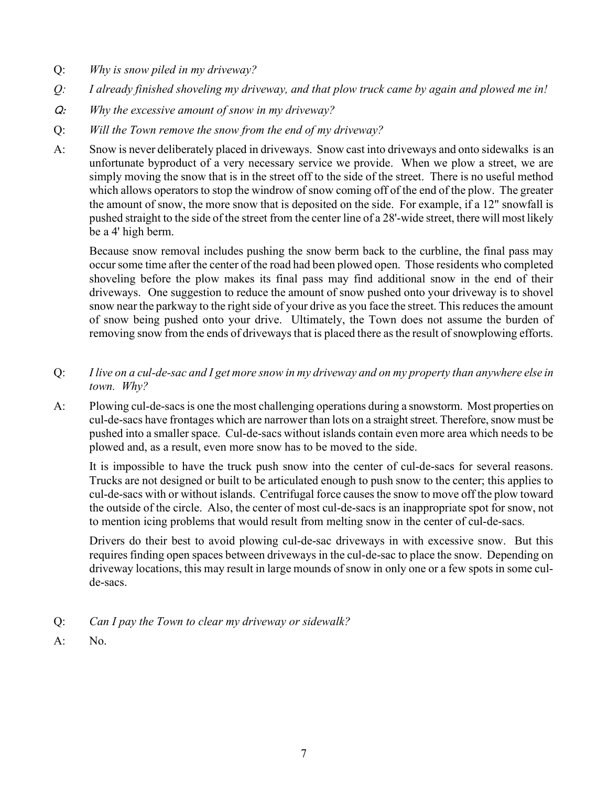- Q: Why is snow piled in my driveway?
- Q: I already finished shoveling my driveway, and that plow truck came by again and plowed me in!
- Q: Why the excessive amount of snow in my driveway?
- Q: Will the Town remove the snow from the end of my driveway?
- A: Snow is never deliberately placed in driveways. Snow cast into driveways and onto sidewalks is an unfortunate byproduct of a very necessary service we provide. When we plow a street, we are simply moving the snow that is in the street off to the side of the street. There is no useful method which allows operators to stop the windrow of snow coming off of the end of the plow. The greater the amount of snow, the more snow that is deposited on the side. For example, if a 12" snowfall is pushed straight to the side of the street from the center line of a 28'-wide street, there will most likely be a 4' high berm.

Because snow removal includes pushing the snow berm back to the curbline, the final pass may occur some time after the center of the road had been plowed open. Those residents who completed shoveling before the plow makes its final pass may find additional snow in the end of their driveways. One suggestion to reduce the amount of snow pushed onto your driveway is to shovel snow near the parkway to the right side of your drive as you face the street. This reduces the amount of snow being pushed onto your drive. Ultimately, the Town does not assume the burden of removing snow from the ends of driveways that is placed there as the result of snowplowing efforts.

- Q: I live on a cul-de-sac and I get more snow in my driveway and on my property than anywhere else in town. Why?
- A: Plowing cul-de-sacs is one the most challenging operations during a snowstorm. Most properties on cul-de-sacs have frontages which are narrower than lots on a straight street. Therefore, snow must be pushed into a smaller space. Cul-de-sacs without islands contain even more area which needs to be plowed and, as a result, even more snow has to be moved to the side.

It is impossible to have the truck push snow into the center of cul-de-sacs for several reasons. Trucks are not designed or built to be articulated enough to push snow to the center; this applies to cul-de-sacs with or without islands. Centrifugal force causes the snow to move off the plow toward the outside of the circle. Also, the center of most cul-de-sacs is an inappropriate spot for snow, not to mention icing problems that would result from melting snow in the center of cul-de-sacs.

Drivers do their best to avoid plowing cul-de-sac driveways in with excessive snow. But this requires finding open spaces between driveways in the cul-de-sac to place the snow. Depending on driveway locations, this may result in large mounds of snow in only one or a few spots in some culde-sacs.

- Q: Can I pay the Town to clear my driveway or sidewalk?
- A: No.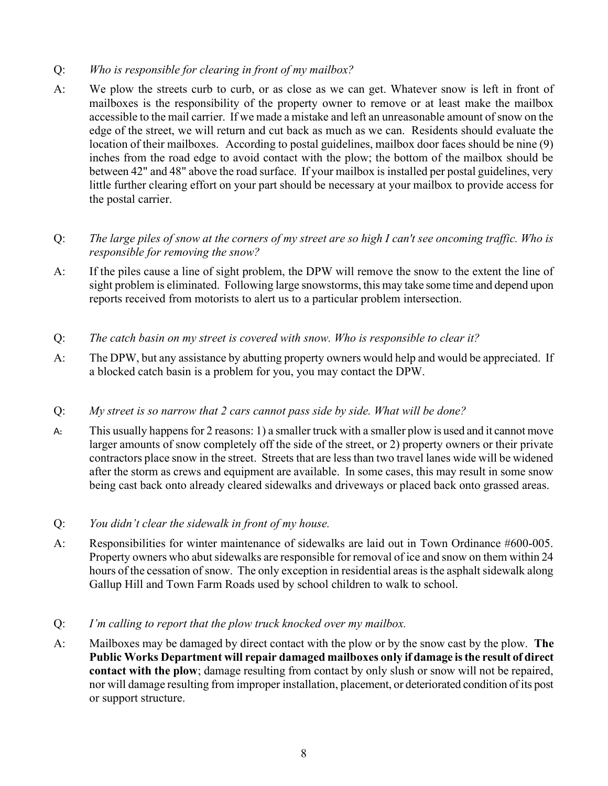## Q: Who is responsible for clearing in front of my mailbox?

A: We plow the streets curb to curb, or as close as we can get. Whatever snow is left in front of mailboxes is the responsibility of the property owner to remove or at least make the mailbox accessible to the mail carrier. If we made a mistake and left an unreasonable amount of snow on the edge of the street, we will return and cut back as much as we can. Residents should evaluate the location of their mailboxes. According to postal guidelines, mailbox door faces should be nine (9) inches from the road edge to avoid contact with the plow; the bottom of the mailbox should be between 42" and 48" above the road surface. If your mailbox is installed per postal guidelines, very little further clearing effort on your part should be necessary at your mailbox to provide access for the postal carrier.

# Q: The large piles of snow at the corners of my street are so high I can't see oncoming traffic. Who is responsible for removing the snow?

- A: If the piles cause a line of sight problem, the DPW will remove the snow to the extent the line of sight problem is eliminated. Following large snowstorms, this may take some time and depend upon reports received from motorists to alert us to a particular problem intersection.
- Q: The catch basin on my street is covered with snow. Who is responsible to clear it?
- A: The DPW, but any assistance by abutting property owners would help and would be appreciated. If a blocked catch basin is a problem for you, you may contact the DPW.

#### Q: My street is so narrow that 2 cars cannot pass side by side. What will be done?

- A: This usually happens for 2 reasons: 1) a smaller truck with a smaller plow is used and it cannot move larger amounts of snow completely off the side of the street, or 2) property owners or their private contractors place snow in the street. Streets that are less than two travel lanes wide will be widened after the storm as crews and equipment are available. In some cases, this may result in some snow being cast back onto already cleared sidewalks and driveways or placed back onto grassed areas.
- Q: You didn't clear the sidewalk in front of my house.
- A: Responsibilities for winter maintenance of sidewalks are laid out in Town Ordinance #600-005. Property owners who abut sidewalks are responsible for removal of ice and snow on them within 24 hours of the cessation of snow. The only exception in residential areas is the asphalt sidewalk along Gallup Hill and Town Farm Roads used by school children to walk to school.
- Q: I'm calling to report that the plow truck knocked over my mailbox.
- A: Mailboxes may be damaged by direct contact with the plow or by the snow cast by the plow. The Public Works Department will repair damaged mailboxes only if damage is the result of direct contact with the plow; damage resulting from contact by only slush or snow will not be repaired, nor will damage resulting from improper installation, placement, or deteriorated condition of its post or support structure.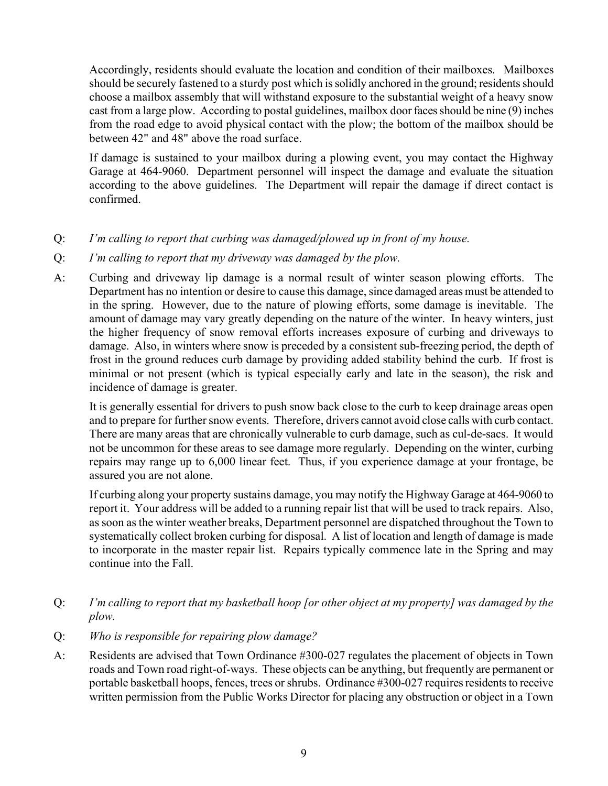Accordingly, residents should evaluate the location and condition of their mailboxes. Mailboxes should be securely fastened to a sturdy post which is solidly anchored in the ground; residents should choose a mailbox assembly that will withstand exposure to the substantial weight of a heavy snow cast from a large plow. According to postal guidelines, mailbox door faces should be nine (9) inches from the road edge to avoid physical contact with the plow; the bottom of the mailbox should be between 42" and 48" above the road surface.

If damage is sustained to your mailbox during a plowing event, you may contact the Highway Garage at 464-9060. Department personnel will inspect the damage and evaluate the situation according to the above guidelines. The Department will repair the damage if direct contact is confirmed.

## Q: I'm calling to report that curbing was damaged/plowed up in front of my house.

## Q: I'm calling to report that my driveway was damaged by the plow.

A: Curbing and driveway lip damage is a normal result of winter season plowing efforts. The Department has no intention or desire to cause this damage, since damaged areas must be attended to in the spring. However, due to the nature of plowing efforts, some damage is inevitable. The amount of damage may vary greatly depending on the nature of the winter. In heavy winters, just the higher frequency of snow removal efforts increases exposure of curbing and driveways to damage. Also, in winters where snow is preceded by a consistent sub-freezing period, the depth of frost in the ground reduces curb damage by providing added stability behind the curb. If frost is minimal or not present (which is typical especially early and late in the season), the risk and incidence of damage is greater.

It is generally essential for drivers to push snow back close to the curb to keep drainage areas open and to prepare for further snow events. Therefore, drivers cannot avoid close calls with curb contact. There are many areas that are chronically vulnerable to curb damage, such as cul-de-sacs. It would not be uncommon for these areas to see damage more regularly. Depending on the winter, curbing repairs may range up to 6,000 linear feet. Thus, if you experience damage at your frontage, be assured you are not alone.

If curbing along your property sustains damage, you may notify the Highway Garage at 464-9060 to report it. Your address will be added to a running repair list that will be used to track repairs. Also, as soon as the winter weather breaks, Department personnel are dispatched throughout the Town to systematically collect broken curbing for disposal. A list of location and length of damage is made to incorporate in the master repair list. Repairs typically commence late in the Spring and may continue into the Fall.

# Q: I'm calling to report that my basketball hoop [or other object at my property] was damaged by the plow.

- Q: Who is responsible for repairing plow damage?
- A: Residents are advised that Town Ordinance #300-027 regulates the placement of objects in Town roads and Town road right-of-ways. These objects can be anything, but frequently are permanent or portable basketball hoops, fences, trees or shrubs. Ordinance #300-027 requires residents to receive written permission from the Public Works Director for placing any obstruction or object in a Town